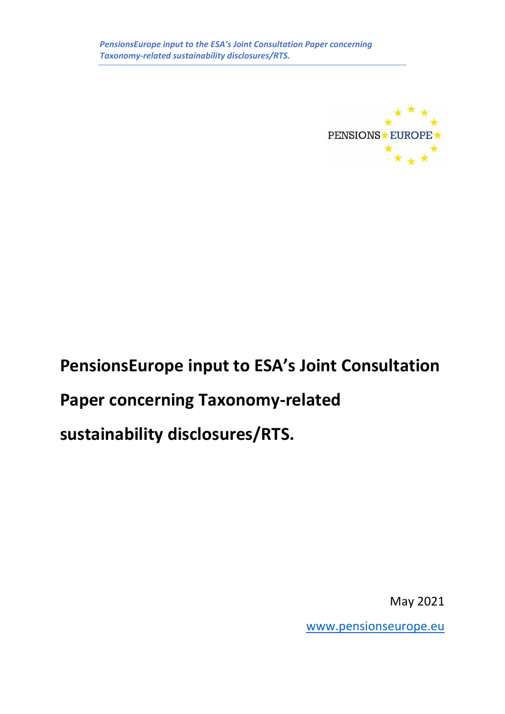

# **PensionsEurope input to ESA's Joint Consultation Paper concerning Taxonomy-related sustainability disclosures/RTS.**

May 2021

[www.pensionseurope.eu](http://www.pensionseurope.eu/)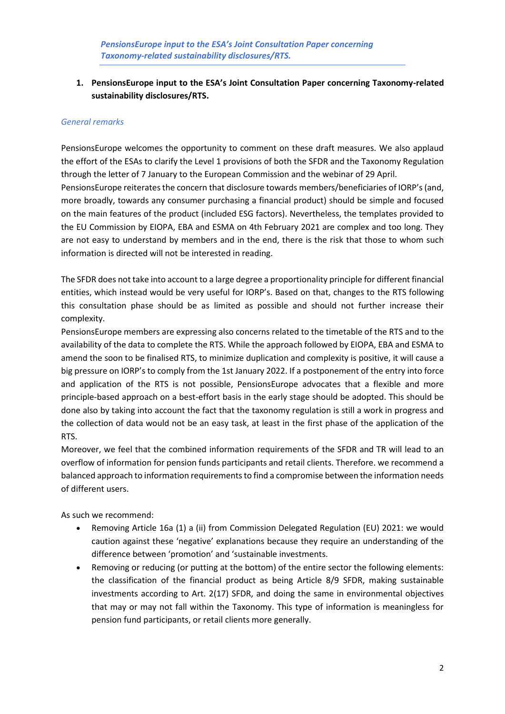# **1. PensionsEurope input to the ESA's Joint Consultation Paper concerning Taxonomy-related sustainability disclosures/RTS.**

# *General remarks*

PensionsEurope welcomes the opportunity to comment on these draft measures. We also applaud the effort of the ESAs to clarify the Level 1 provisions of both the SFDR and the Taxonomy Regulation through the letter of 7 January to the European Commission and the webinar of 29 April.

PensionsEurope reiterates the concern that disclosure towards members/beneficiaries of IORP's (and, more broadly, towards any consumer purchasing a financial product) should be simple and focused on the main features of the product (included ESG factors). Nevertheless, the templates provided to the EU Commission by EIOPA, EBA and ESMA on 4th February 2021 are complex and too long. They are not easy to understand by members and in the end, there is the risk that those to whom such information is directed will not be interested in reading.

The SFDR does not take into account to a large degree a proportionality principle for different financial entities, which instead would be very useful for IORP's. Based on that, changes to the RTS following this consultation phase should be as limited as possible and should not further increase their complexity.

PensionsEurope members are expressing also concerns related to the timetable of the RTS and to the availability of the data to complete the RTS. While the approach followed by EIOPA, EBA and ESMA to amend the soon to be finalised RTS, to minimize duplication and complexity is positive, it will cause a big pressure on IORP's to comply from the 1st January 2022. If a postponement of the entry into force and application of the RTS is not possible, PensionsEurope advocates that a flexible and more principle-based approach on a best-effort basis in the early stage should be adopted. This should be done also by taking into account the fact that the taxonomy regulation is still a work in progress and the collection of data would not be an easy task, at least in the first phase of the application of the RTS.

Moreover, we feel that the combined information requirements of the SFDR and TR will lead to an overflow of information for pension funds participants and retail clients. Therefore. we recommend a balanced approach to information requirements to find a compromise between the information needs of different users.

As such we recommend:

- Removing Article 16a (1) a (ii) from Commission Delegated Regulation (EU) 2021: we would caution against these 'negative' explanations because they require an understanding of the difference between 'promotion' and 'sustainable investments.
- Removing or reducing (or putting at the bottom) of the entire sector the following elements: the classification of the financial product as being Article 8/9 SFDR, making sustainable investments according to Art. 2(17) SFDR, and doing the same in environmental objectives that may or may not fall within the Taxonomy. This type of information is meaningless for pension fund participants, or retail clients more generally.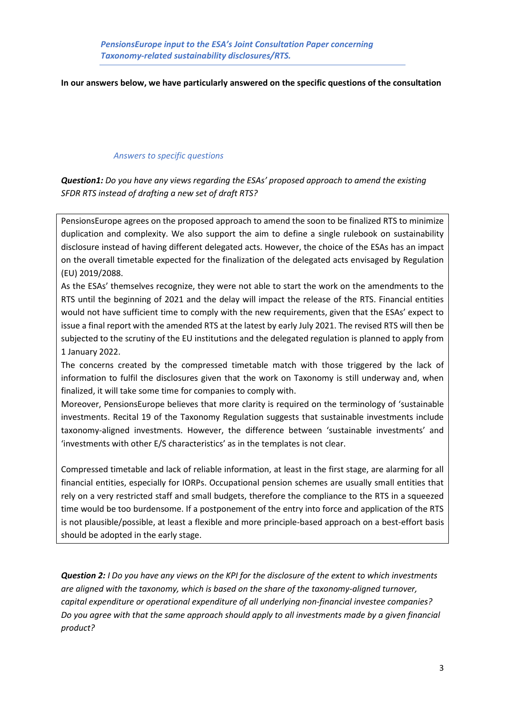# **In our answers below, we have particularly answered on the specific questions of the consultation**

## *Answers to specific questions*

*Question1: Do you have any views regarding the ESAs' proposed approach to amend the existing SFDR RTS instead of drafting a new set of draft RTS?* 

PensionsEurope agrees on the proposed approach to amend the soon to be finalized RTS to minimize duplication and complexity. We also support the aim to define a single rulebook on sustainability disclosure instead of having different delegated acts. However, the choice of the ESAs has an impact on the overall timetable expected for the finalization of the delegated acts envisaged by Regulation (EU) 2019/2088.

As the ESAs' themselves recognize, they were not able to start the work on the amendments to the RTS until the beginning of 2021 and the delay will impact the release of the RTS. Financial entities would not have sufficient time to comply with the new requirements, given that the ESAs' expect to issue a final report with the amended RTS at the latest by early July 2021. The revised RTS will then be subjected to the scrutiny of the EU institutions and the delegated regulation is planned to apply from 1 January 2022.

The concerns created by the compressed timetable match with those triggered by the lack of information to fulfil the disclosures given that the work on Taxonomy is still underway and, when finalized, it will take some time for companies to comply with.

Moreover, PensionsEurope believes that more clarity is required on the terminology of 'sustainable investments. Recital 19 of the Taxonomy Regulation suggests that sustainable investments include taxonomy-aligned investments. However, the difference between 'sustainable investments' and 'investments with other E/S characteristics' as in the templates is not clear.

Compressed timetable and lack of reliable information, at least in the first stage, are alarming for all financial entities, especially for IORPs. Occupational pension schemes are usually small entities that rely on a very restricted staff and small budgets, therefore the compliance to the RTS in a squeezed time would be too burdensome. If a postponement of the entry into force and application of the RTS is not plausible/possible, at least a flexible and more principle-based approach on a best-effort basis should be adopted in the early stage.

*Question 2: I Do you have any views on the KPI for the disclosure of the extent to which investments are aligned with the taxonomy, which is based on the share of the taxonomy-aligned turnover, capital expenditure or operational expenditure of all underlying non-financial investee companies? Do you agree with that the same approach should apply to all investments made by a given financial product?*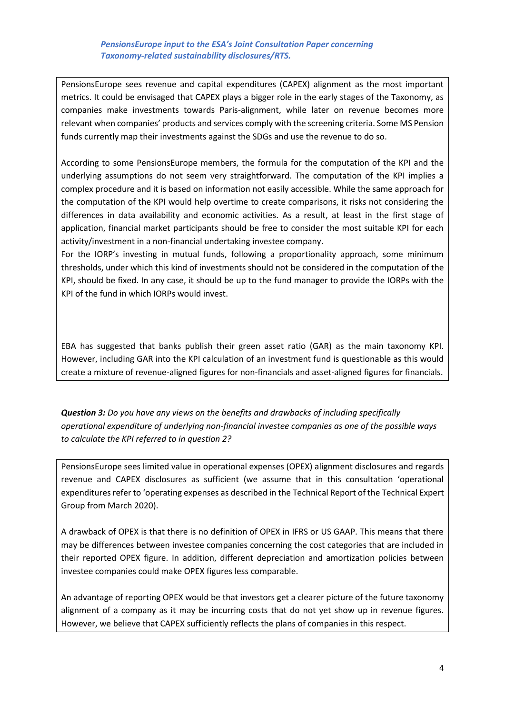PensionsEurope sees revenue and capital expenditures (CAPEX) alignment as the most important metrics. It could be envisaged that CAPEX plays a bigger role in the early stages of the Taxonomy, as companies make investments towards Paris-alignment, while later on revenue becomes more relevant when companies' products and services comply with the screening criteria. Some MS Pension funds currently map their investments against the SDGs and use the revenue to do so.

According to some PensionsEurope members, the formula for the computation of the KPI and the underlying assumptions do not seem very straightforward. The computation of the KPI implies a complex procedure and it is based on information not easily accessible. While the same approach for the computation of the KPI would help overtime to create comparisons, it risks not considering the differences in data availability and economic activities. As a result, at least in the first stage of application, financial market participants should be free to consider the most suitable KPI for each activity/investment in a non-financial undertaking investee company.

For the IORP's investing in mutual funds, following a proportionality approach, some minimum thresholds, under which this kind of investments should not be considered in the computation of the KPI, should be fixed. In any case, it should be up to the fund manager to provide the IORPs with the KPI of the fund in which IORPs would invest.

EBA has suggested that banks publish their green asset ratio (GAR) as the main taxonomy KPI. However, including GAR into the KPI calculation of an investment fund is questionable as this would create a mixture of revenue-aligned figures for non-financials and asset-aligned figures for financials.

*Question 3: Do you have any views on the benefits and drawbacks of including specifically operational expenditure of underlying non-financial investee companies as one of the possible ways to calculate the KPI referred to in question 2?*

PensionsEurope sees limited value in operational expenses (OPEX) alignment disclosures and regards revenue and CAPEX disclosures as sufficient (we assume that in this consultation 'operational expenditures refer to 'operating expenses as described in the Technical Report of the Technical Expert Group from March 2020).

A drawback of OPEX is that there is no definition of OPEX in IFRS or US GAAP. This means that there may be differences between investee companies concerning the cost categories that are included in their reported OPEX figure. In addition, different depreciation and amortization policies between investee companies could make OPEX figures less comparable.

An advantage of reporting OPEX would be that investors get a clearer picture of the future taxonomy alignment of a company as it may be incurring costs that do not yet show up in revenue figures. However, we believe that CAPEX sufficiently reflects the plans of companies in this respect.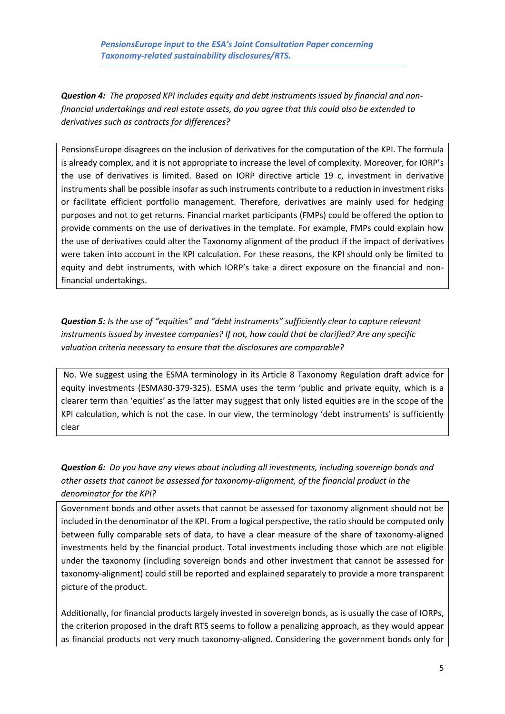*PensionsEurope input to the ESA's Joint Consultation Paper concerning Taxonomy-related sustainability disclosures/RTS.*

*Question 4: The proposed KPI includes equity and debt instruments issued by financial and nonfinancial undertakings and real estate assets, do you agree that this could also be extended to derivatives such as contracts for differences?*

PensionsEurope disagrees on the inclusion of derivatives for the computation of the KPI. The formula is already complex, and it is not appropriate to increase the level of complexity. Moreover, for IORP's the use of derivatives is limited. Based on IORP directive article 19 c, investment in derivative instruments shall be possible insofar as such instruments contribute to a reduction in investment risks or facilitate efficient portfolio management. Therefore, derivatives are mainly used for hedging purposes and not to get returns. Financial market participants (FMPs) could be offered the option to provide comments on the use of derivatives in the template. For example, FMPs could explain how the use of derivatives could alter the Taxonomy alignment of the product if the impact of derivatives were taken into account in the KPI calculation. For these reasons, the KPI should only be limited to equity and debt instruments, with which IORP's take a direct exposure on the financial and nonfinancial undertakings.

*Question 5: Is the use of "equities" and "debt instruments" sufficiently clear to capture relevant instruments issued by investee companies? If not, how could that be clarified? Are any specific valuation criteria necessary to ensure that the disclosures are comparable?* 

No. We suggest using the ESMA terminology in its Article 8 Taxonomy Regulation draft advice for equity investments (ESMA30-379-325). ESMA uses the term 'public and private equity, which is a clearer term than 'equities' as the latter may suggest that only listed equities are in the scope of the KPI calculation, which is not the case. In our view, the terminology 'debt instruments' is sufficiently clear

*Question 6: Do you have any views about including all investments, including sovereign bonds and other assets that cannot be assessed for taxonomy-alignment, of the financial product in the denominator for the KPI?*

Government bonds and other assets that cannot be assessed for taxonomy alignment should not be included in the denominator of the KPI. From a logical perspective, the ratio should be computed only between fully comparable sets of data, to have a clear measure of the share of taxonomy-aligned investments held by the financial product. Total investments including those which are not eligible under the taxonomy (including sovereign bonds and other investment that cannot be assessed for taxonomy-alignment) could still be reported and explained separately to provide a more transparent picture of the product.

Additionally, for financial products largely invested in sovereign bonds, as is usually the case of IORPs, the criterion proposed in the draft RTS seems to follow a penalizing approach, as they would appear as financial products not very much taxonomy-aligned. Considering the government bonds only for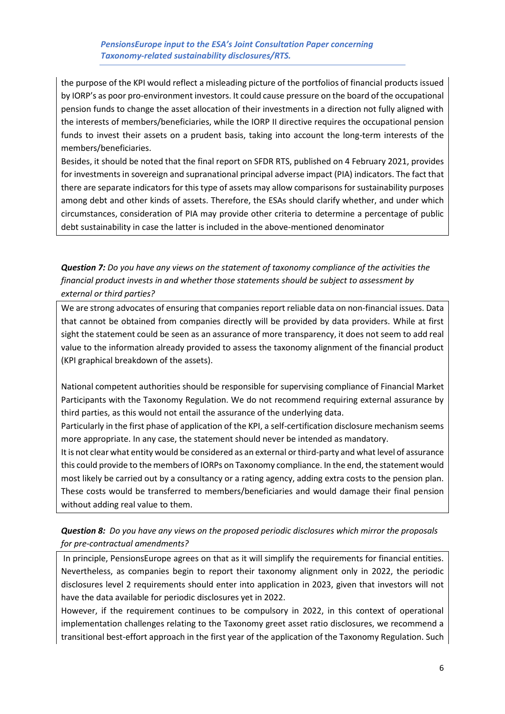# *PensionsEurope input to the ESA's Joint Consultation Paper concerning Taxonomy-related sustainability disclosures/RTS.*

the purpose of the KPI would reflect a misleading picture of the portfolios of financial products issued by IORP's as poor pro-environment investors. It could cause pressure on the board of the occupational pension funds to change the asset allocation of their investments in a direction not fully aligned with the interests of members/beneficiaries, while the IORP II directive requires the occupational pension funds to invest their assets on a prudent basis, taking into account the long-term interests of the members/beneficiaries.

Besides, it should be noted that the final report on SFDR RTS, published on 4 February 2021, provides for investments in sovereign and supranational principal adverse impact (PIA) indicators. The fact that there are separate indicators for this type of assets may allow comparisons for sustainability purposes among debt and other kinds of assets. Therefore, the ESAs should clarify whether, and under which circumstances, consideration of PIA may provide other criteria to determine a percentage of public debt sustainability in case the latter is included in the above-mentioned denominator

# *Question 7: Do you have any views on the statement of taxonomy compliance of the activities the financial product invests in and whether those statements should be subject to assessment by external or third parties?*

We are strong advocates of ensuring that companies report reliable data on non-financial issues. Data that cannot be obtained from companies directly will be provided by data providers. While at first sight the statement could be seen as an assurance of more transparency, it does not seem to add real value to the information already provided to assess the taxonomy alignment of the financial product (KPI graphical breakdown of the assets).

National competent authorities should be responsible for supervising compliance of Financial Market Participants with the Taxonomy Regulation. We do not recommend requiring external assurance by third parties, as this would not entail the assurance of the underlying data.

Particularly in the first phase of application of the KPI, a self-certification disclosure mechanism seems more appropriate. In any case, the statement should never be intended as mandatory.

It is not clear what entity would be considered as an external or third-party and what level of assurance this could provide to the members of IORPs on Taxonomy compliance. In the end, the statement would most likely be carried out by a consultancy or a rating agency, adding extra costs to the pension plan. These costs would be transferred to members/beneficiaries and would damage their final pension without adding real value to them.

# *Question 8: Do you have any views on the proposed periodic disclosures which mirror the proposals for pre-contractual amendments?*

In principle, PensionsEurope agrees on that as it will simplify the requirements for financial entities. Nevertheless, as companies begin to report their taxonomy alignment only in 2022, the periodic disclosures level 2 requirements should enter into application in 2023, given that investors will not have the data available for periodic disclosures yet in 2022.

However, if the requirement continues to be compulsory in 2022, in this context of operational implementation challenges relating to the Taxonomy greet asset ratio disclosures, we recommend a transitional best-effort approach in the first year of the application of the Taxonomy Regulation. Such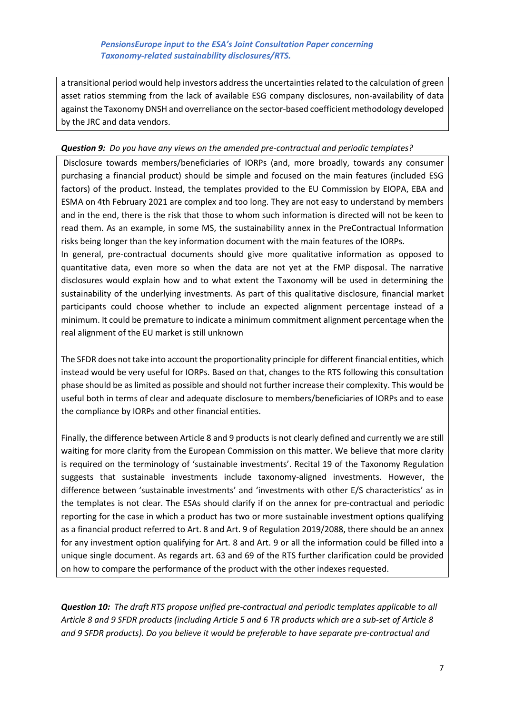a transitional period would help investors address the uncertainties related to the calculation of green asset ratios stemming from the lack of available ESG company disclosures, non-availability of data against the Taxonomy DNSH and overreliance on the sector-based coefficient methodology developed by the JRC and data vendors.

## *Question 9: Do you have any views on the amended pre-contractual and periodic templates?*

Disclosure towards members/beneficiaries of IORPs (and, more broadly, towards any consumer purchasing a financial product) should be simple and focused on the main features (included ESG factors) of the product. Instead, the templates provided to the EU Commission by EIOPA, EBA and ESMA on 4th February 2021 are complex and too long. They are not easy to understand by members and in the end, there is the risk that those to whom such information is directed will not be keen to read them. As an example, in some MS, the sustainability annex in the PreContractual Information risks being longer than the key information document with the main features of the IORPs.

In general, pre-contractual documents should give more qualitative information as opposed to quantitative data, even more so when the data are not yet at the FMP disposal. The narrative disclosures would explain how and to what extent the Taxonomy will be used in determining the sustainability of the underlying investments. As part of this qualitative disclosure, financial market participants could choose whether to include an expected alignment percentage instead of a minimum. It could be premature to indicate a minimum commitment alignment percentage when the real alignment of the EU market is still unknown

The SFDR does not take into account the proportionality principle for different financial entities, which instead would be very useful for IORPs. Based on that, changes to the RTS following this consultation phase should be as limited as possible and should not further increase their complexity. This would be useful both in terms of clear and adequate disclosure to members/beneficiaries of IORPs and to ease the compliance by IORPs and other financial entities.

Finally, the difference between Article 8 and 9 products is not clearly defined and currently we are still waiting for more clarity from the European Commission on this matter. We believe that more clarity is required on the terminology of 'sustainable investments'. Recital 19 of the Taxonomy Regulation suggests that sustainable investments include taxonomy-aligned investments. However, the difference between 'sustainable investments' and 'investments with other E/S characteristics' as in the templates is not clear. The ESAs should clarify if on the annex for pre-contractual and periodic reporting for the case in which a product has two or more sustainable investment options qualifying as a financial product referred to Art. 8 and Art. 9 of Regulation 2019/2088, there should be an annex for any investment option qualifying for Art. 8 and Art. 9 or all the information could be filled into a unique single document. As regards art. 63 and 69 of the RTS further clarification could be provided on how to compare the performance of the product with the other indexes requested.

*Question 10: The draft RTS propose unified pre-contractual and periodic templates applicable to all Article 8 and 9 SFDR products (including Article 5 and 6 TR products which are a sub-set of Article 8 and 9 SFDR products). Do you believe it would be preferable to have separate pre-contractual and*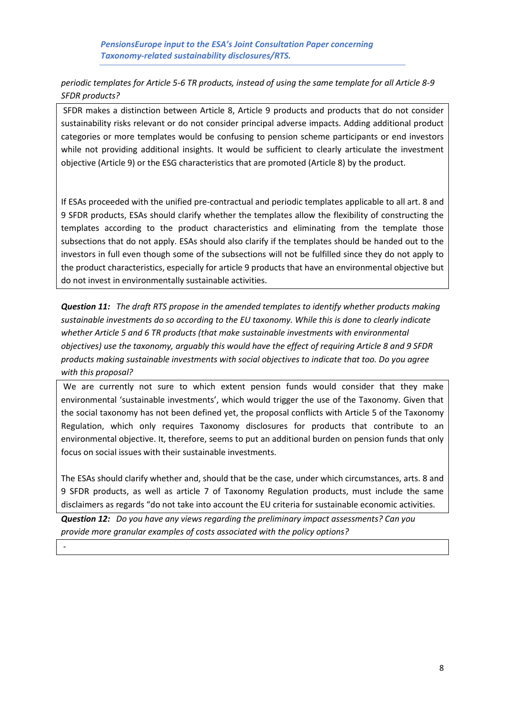*PensionsEurope input to the ESA's Joint Consultation Paper concerning Taxonomy-related sustainability disclosures/RTS.*

*periodic templates for Article 5-6 TR products, instead of using the same template for all Article 8-9 SFDR products?*

SFDR makes a distinction between Article 8, Article 9 products and products that do not consider sustainability risks relevant or do not consider principal adverse impacts. Adding additional product categories or more templates would be confusing to pension scheme participants or end investors while not providing additional insights. It would be sufficient to clearly articulate the investment objective (Article 9) or the ESG characteristics that are promoted (Article 8) by the product.

If ESAs proceeded with the unified pre-contractual and periodic templates applicable to all art. 8 and 9 SFDR products, ESAs should clarify whether the templates allow the flexibility of constructing the templates according to the product characteristics and eliminating from the template those subsections that do not apply. ESAs should also clarify if the templates should be handed out to the investors in full even though some of the subsections will not be fulfilled since they do not apply to the product characteristics, especially for article 9 products that have an environmental objective but do not invest in environmentally sustainable activities.

*Question 11: The draft RTS propose in the amended templates to identify whether products making sustainable investments do so according to the EU taxonomy. While this is done to clearly indicate whether Article 5 and 6 TR products (that make sustainable investments with environmental objectives) use the taxonomy, arguably this would have the effect of requiring Article 8 and 9 SFDR products making sustainable investments with social objectives to indicate that too. Do you agree with this proposal?*

We are currently not sure to which extent pension funds would consider that they make environmental 'sustainable investments', which would trigger the use of the Taxonomy. Given that the social taxonomy has not been defined yet, the proposal conflicts with Article 5 of the Taxonomy Regulation, which only requires Taxonomy disclosures for products that contribute to an environmental objective. It, therefore, seems to put an additional burden on pension funds that only focus on social issues with their sustainable investments.

The ESAs should clarify whether and, should that be the case, under which circumstances, arts. 8 and 9 SFDR products, as well as article 7 of Taxonomy Regulation products, must include the same disclaimers as regards "do not take into account the EU criteria for sustainable economic activities.

*Question 12: Do you have any views regarding the preliminary impact assessments? Can you provide more granular examples of costs associated with the policy options?*